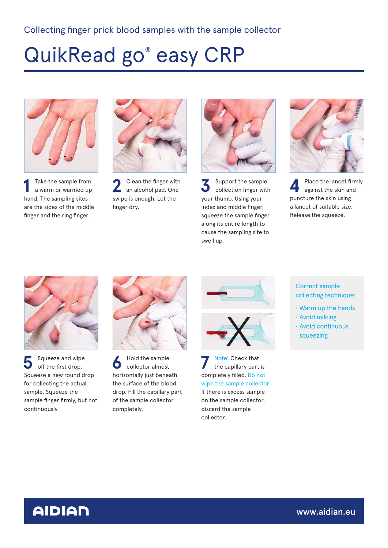# QuikRead go® easy CRP



**1** Take the sample from a warm or warmed up hand. The sampling sites are the sides of the middle finger and the ring finger.



**2** Clean the finger with an alcohol pad. One swipe is enough. Let the finger dry.



**3** Support the sample<br>collection finger with collection finger with your thumb. Using your index and middle finger, squeeze the sample finger along its entire length to cause the sampling site to swell up.



**4** Place the lancet firmly against the skin and puncture the skin using a lancet of suitable size. Release the squeeze.



Squeeze and wipe<br>
off the first drop. Squeeze a new round drop for collecting the actual sample. Squeeze the sample finger firmly, but not continuously.



**6** Hold the sample<br>
collector almost horizontally just beneath the surface of the blood drop. Fill the capillary part of the sample collector completely.



**7** Note! Check that the capillary part is completely filled. Do not wipe the sample collector! If there is excess sample on the sample collector, discard the sample collector.

Correct sample collecting technique:

- Warm up the hands
- Avoid milking • Avoid continuous
- squeezing